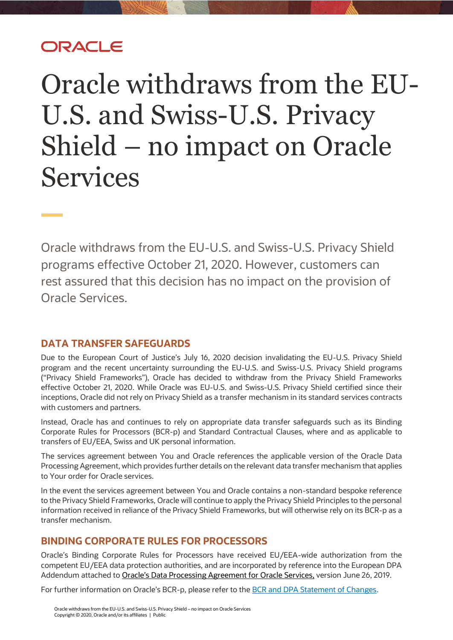## ORACI E

## Oracle withdraws from the EU-U.S. and Swiss-U.S. Privacy Shield – no impact on Oracle Services

Oracle withdraws from the EU-U.S. and Swiss-U.S. Privacy Shield programs effective October 21, 2020. However, customers can rest assured that this decision has no impact on the provision of Oracle Services.

## **DATA TRANSFER SAFEGUARDS**

Due to the European Court of Justice's July 16, 2020 decision invalidating the EU-U.S. Privacy Shield program and the recent uncertainty surrounding the EU-U.S. and Swiss-U.S. Privacy Shield programs ("Privacy Shield Frameworks"), Oracle has decided to withdraw from the Privacy Shield Frameworks effective October 21, 2020. While Oracle was EU-U.S. and Swiss-U.S. Privacy Shield certified since their inceptions, Oracle did not rely on Privacy Shield as a transfer mechanism in its standard services contracts with customers and partners.

Instead, Oracle has and continues to rely on appropriate data transfer safeguards such as its Binding Corporate Rules for Processors (BCR-p) and Standard Contractual Clauses, where and as applicable to transfers of EU/EEA, Swiss and UK personal information.

The services agreement between You and Oracle references the applicable version of the Oracle Data Processing Agreement, which provides further details on the relevant data transfer mechanism that applies to Your order for Oracle services.

In the event the services agreement between You and Oracle contains a non-standard bespoke reference to the Privacy Shield Frameworks, Oracle will continue to apply the Privacy Shield Principles to the personal information received in reliance of the Privacy Shield Frameworks, but will otherwise rely on its BCR-p as a transfer mechanism.

## **BINDING CORPORATE RULES FOR PROCESSORS**

Oracle's Binding Corporate Rules for Processors have received EU/EEA-wide authorization from the competent EU/EEA data protection authorities, and are incorporated by reference into the European DPA Addendum attached to [Oracle's Data Processing Agreement for](https://www.oracle.com/corporate/contracts/cloud-services/contracts.html#data-processing.) Oracle Services, version June 26, 2019.

For further information on Oracle's BCR-p, please refer to the [BCR and DPA Statement of Changes.](https://www.oracle.com/corporate/contracts/cloud-services/contracts.html#data-processing)